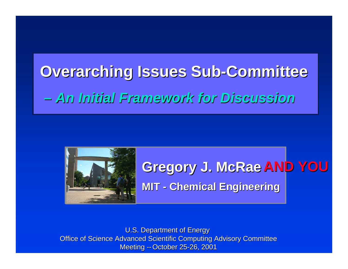# **Overarching Issues Sub Overarching Issues Sub -Committee Committee** *An Initial Framework for Discussion An Initial Framework for Discussion*



#### **Gregory J. McRae Gregory J. McRae AND YOU AND YOUMIT -Chemical Engineering Chemical Engineering**

**U.S. Department of Energy** Office of Science Advanced Scientific Computing Advisory Committee Meeting -- October 25-26, 2001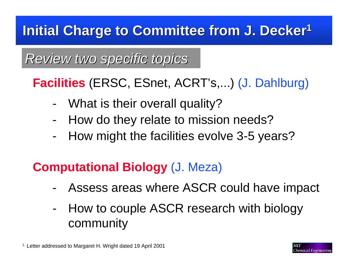## **Initial Charge to Committee from J. Decker 1 Initial Charge to Committee from J. Decker 1**

## *Review two specific topics Review two specific topics*

**Facilities** (ERSC, ESnet, ACRT's,...) (J. Dahlburg)

- What is their overall quality?
- How do they relate to mission needs?
- -How might the facilities evolve 3-5 years?

## **Computational Biology** (J. Meza)

- Assess areas where ASCR could have impact
- - How to couple ASCR research with biology community

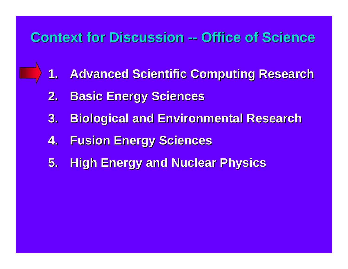## **Context for Discussion -- Office of Science**

- **1.Advanced Scientific Computing Research Advanced Scientific Computing Research**
- **2.Basic Energy Sciences Basic Energy Sciences**
- **3. Biological and Environmental Research Biological and Environmental Research**
- **4.Fusion Energy Sciences Fusion Energy Sciences**
- **5. High Energy and Nuclear Physics**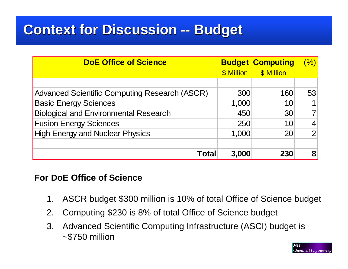## **Context for Discussion -- Budget Context for Discussion -- Budget**

| <b>DoE Office of Science</b>                         |       | <b>Budget Computing</b> | (%) |
|------------------------------------------------------|-------|-------------------------|-----|
|                                                      |       | \$ Million \$ Million   |     |
|                                                      |       |                         |     |
| <b>Advanced Scientific Computing Research (ASCR)</b> | 300   | 160                     | 53  |
| <b>Basic Energy Sciences</b>                         | 1,000 | 10                      |     |
| <b>Biological and Environmental Research</b>         | 450   | 30                      |     |
| <b>Fusion Energy Sciences</b>                        | 250   | 10                      | 4   |
| <b>High Energy and Nuclear Physics</b>               | 1,000 | 20                      | ာ   |
|                                                      |       |                         |     |
| Total                                                | 3,000 | 230                     | 8   |

#### **For DoE Office of Science**

- 1. ASCR budget \$300 million is 10% of total Office of Science budget
- 2. Computing \$230 is 8% of total Office of Science budget
- 3. Advanced Scientific Computing Infrastructure (ASCI) budget is ~\$750 million

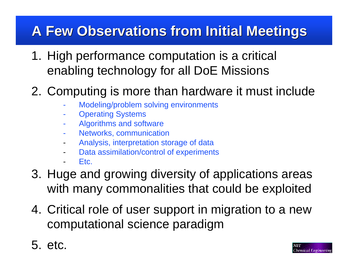## **A Few Observations from Initial Meetings A Few Observations from Initial Meetings**

- 1. High performance computation is a critical enabling technology for all DoE Missions
- 2. Computing is more than hardware it must include
	- Modeling/problem solving environments
	- Operating Systems
	- Algorithms and software
	- Networks, communication
	- Analysis, interpretation storage of data
	- -Data assimilation/control of experiments
	- Etc.
- 3. Huge and growing diversity of applications areas with many commonalities that could be exploited
- 4. Critical role of user support in migration to a new computational science paradigm
- 5. etc.

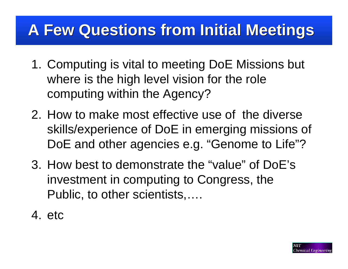## **A Few Questions from Initial Meetings A Few Questions from Initial Meetings**

- 1. Computing is vital to meeting DoE Missions but where is the high level vision for the role computing within the Agency?
- 2. How to make most effective use of the diverse skills/experience of DoE in emerging missions of DoE and other agencies e.g. "Genome to Life"?
- 3. How best to demonstrate the "value" of DoE's investment in computing to Congress, the Public, to other scientists,….
- 4. etc

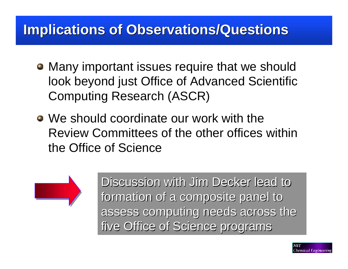## **Implications of Observations/Questions**

- Many important issues require that we should look beyond just Office of Advanced Scientific Computing Research (ASCR)
- We should coordinate our work with the Review Committees of the other offices within the Office of Science



Discussion with Jim Decker lead to formation of a composite panel to assess computing needs across the five Office of Science programs five Office of Science programs

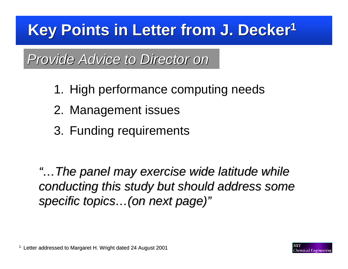## **Key Points in Letter from J. Decker Key Points in Letter from J. Decker 1**

*Provide Advice to Director on Provide Advice to Director on*

- 1. High performance computing needs
- 2. Management issues
- 3. Funding requirements

*"…The panel may exercise wide latitude while The panel may exercise wide latitude while conducting this study but should address some conducting this study but should address some specific topics specific topics …(on next page) (on next page) "*

 $1.$  Letter addressed to Margaret H. Wright dated 24 August 2001

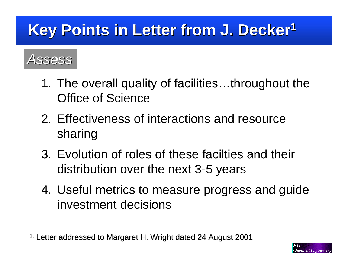## **Key Points in Letter from J. Decker Key Points in Letter from J. Decker 1**

## *Assess*

- 1. The overall quality of facilities…throughout the Office of Science
- 2. Effectiveness of interactions and resource sharing
- 3. Evolution of roles of these facilties and their distribution over the next 3-5 years
- 4. Useful metrics to measure progress and guide investment decisions

 $^{\rm 1.}$  Letter addressed to Margaret H. Wright dated 24 August 2001

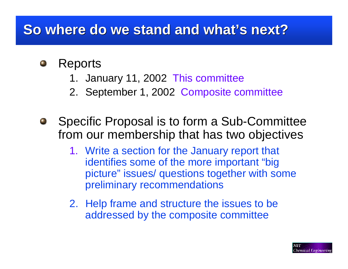## **So where do we stand and what's next?**

#### Reports  $\blacksquare$

- 1. January 11, 2002 This committee
- 2. September 1, 2002 Composite committee
- Specific Proposal is to form a Sub-Committee from our membership that has two objectives
	- 1. Write a section for the January report that identifies some of the more important "big picture" issues/ questions together with some preliminary recommendations
	- 2. Help frame and structure the issues to be addressed by the composite committee

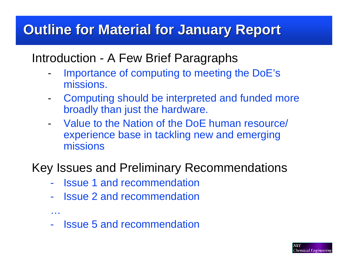## **Outline for Material for January Report**

#### Introduction - A Few Brief Paragraphs

- - Importance of computing to meeting the DoE's missions.
- - Computing should be interpreted and funded more broadly than just the hardware.
- Value to the Nation of the DoE human resource/ experience base in tackling new and emerging missions

#### Key Issues and Preliminary Recommendations

- -**Issue 1 and recommendation**
- -Issue 2 and recommendation
- Issue 5 and recommendation

…

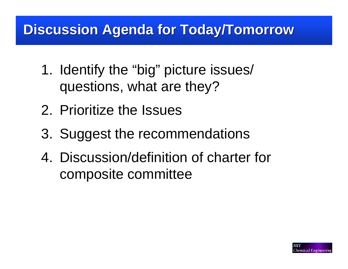## **Discussion Agenda for Today/Tomorrow Discussion Agenda for Today/Tomorrow**

- 1. Identify the "big" picture issues/ questions, what are they?
- 2. Prioritize the Issues
- 3. Suggest the recommendations
- 4. Discussion/definition of charter for composite committee